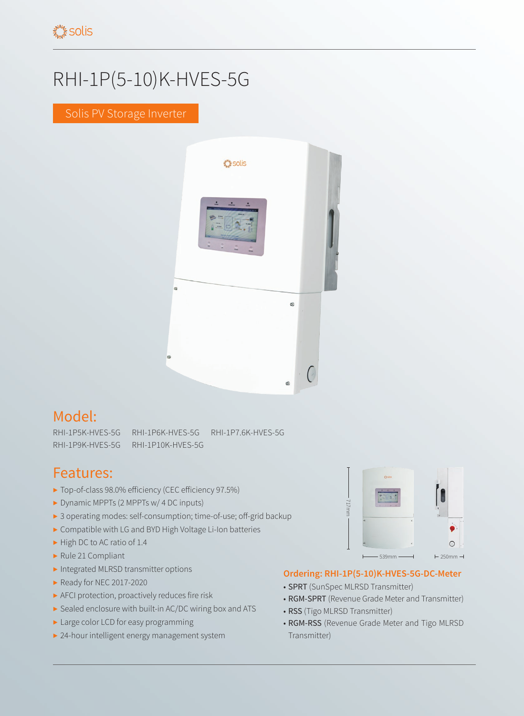## RHI-1P(5-10)K-HVES-5G

Solis PV Storage Inverter



## Model:

RHI-1P5K-HVES-5G RHI-1P6K-HVES-5G RHI-1P7.6K-HVES-5G RHI-1P9K-HVES-5G RHI-1P10K-HVES-5G

## Features:

- ▶ Top-of-class 98.0% efficiency (CEC efficiency 97.5%)
- ▶ Dynamic MPPTs (2 MPPTs w/ 4 DC inputs)
- ▶ 3 operating modes: self-consumption; time-of-use; off-grid backup
- ▶ Compatible with LG and BYD High Voltage Li-Ion batteries
- ▶ High DC to AC ratio of 1.4
- ▶ Rule 21 Compliant
- ▶ Integrated MLRSD transmitter options
- ▶ Ready for NEC 2017-2020
- ▶ AFCI protection, proactively reduces fire risk
- ▶ Sealed enclosure with built-in AC/DC wiring box and ATS
- ▶ Large color LCD for easy programming
- ▶ 24-hour intelligent energy management system



## **Ordering: RHI-1P(5-10)K-HVES-5G-DC-Meter**

- SPRT (SunSpec MLRSD Transmitter)
- RGM-SPRT (Revenue Grade Meter and Transmitter)
- RSS (Tigo MLRSD Transmitter)
- RGM-RSS (Revenue Grade Meter and Tigo MLRSD Transmitter)